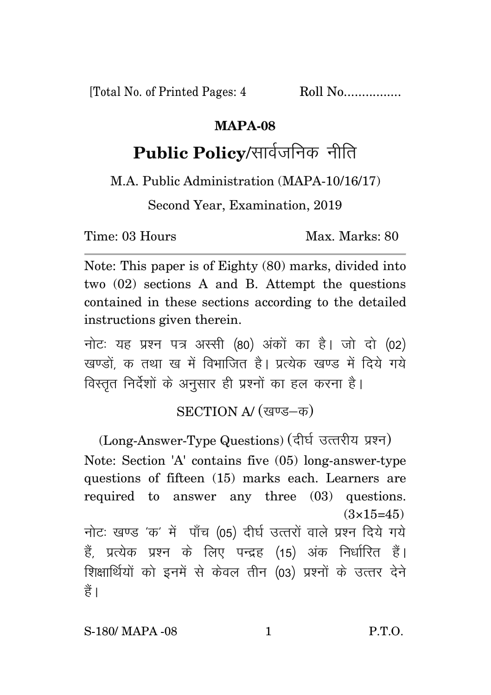[Total No. of Printed Pages: 4 Roll No.................

## **MAPA-08**

## Public Policy/सार्वजनिक नीति

M.A. Public Administration (MAPA-10/16/17)

Second Year, Examination, 2019

Time: 03 Hours Max. Marks: 80

Note: This paper is of Eighty (80) marks, divided into two (02) sections A and B. Attempt the questions contained in these sections according to the detailed instructions given therein.

नोट: यह प्रश्न पत्र अस्सी (80) अंकों का है। जो दो (02) खण्डों क तथा ख में विभाजित है। प्रत्येक खण्ड में दिये गये विस्तृत निर्देशों के अनुसार ही प्रश्नों का हल करना है।

SECTION A/ (खण्ड-क)

(Long-Answer-Type Questions) (दीर्घ उत्तरीय प्रश्न) Note: Section 'A' contains five (05) long-answer-type questions of fifteen (15) marks each. Learners are required to answer any three (03) questions.  $(3\times15=45)$ नोट: खण्ड 'क' में पाँच (05) दीर्घ उत्तरों वाले प्रश्न दिये गये हैं, प्रत्येक प्रश्न के लिए पन्द्रह (15) अंक निर्धारित हैं। शिक्षार्थियों को इनमें से केवल तीन (03) प्रश्नों के उत्तर देने हैं ।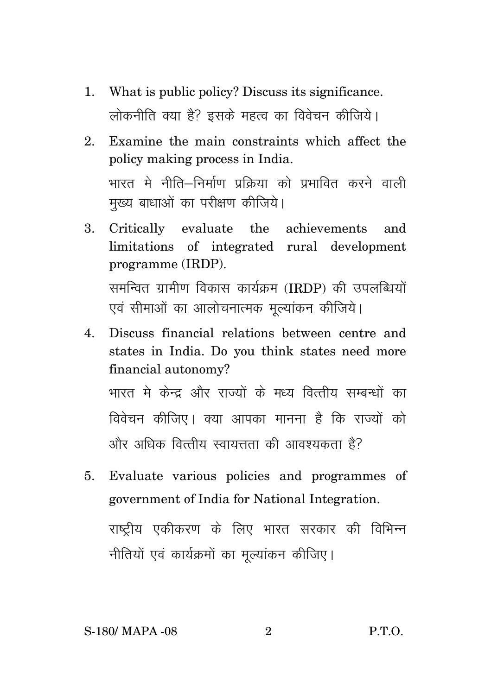- 1. What is public policy? Discuss its significance. लोकनीति क्या है? इसके महत्व का विवेचन कीजिये।
- 2. Examine the main constraints which affect the policy making process in India. भारत मे नीति—निर्माण पकिया को पभावित करने वाली मुख्य बाधाओं का परीक्षण कीजिये।
- 3. Critically evaluate the achievements and limitations of integrated rural development programme (IRDP). समन्वित ग्रामीण विकास कार्यक्रम (IRDP) की उपलब्धियों एवं सीमाओं का आलोचनात्मक मुल्यांकन कीजिये।
- 4. Discuss financial relations between centre and states in India. Do you think states need more financial autonomy? भारत मे केन्द्र और राज्यों के मध्य वित्तीय सम्बन्धों का विवेचन कीजिए। क्या आपका मानना है कि राज्यों को  $\hat{u}$ र्भार अधिक वित्तीय स्वायत्तता की आवश्यकता है?
- 5. Evaluate various policies and programmes of government of India for National Integration. राष्ट्रीय एकीकरण के लिए भारत सरकार की विभिन्न नीतियों एवं कार्यक्रमों का मुल्यांकन कीजिए।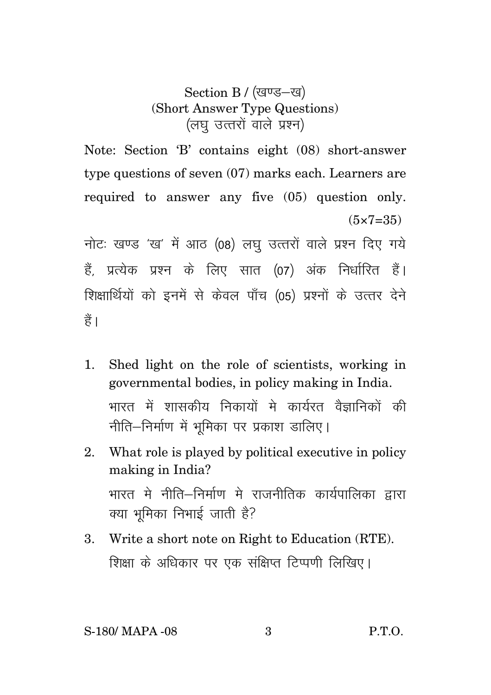Section B / (खण्ड-ख) (Short Answer Type Questions) (लघु उत्तरों वाले प्रश्न)

Note: Section 'B' contains eight (08) short-answer type questions of seven (07) marks each. Learners are required to answer any five (05) question only.  $(5 \times 7 = 35)$ 

नोटः खण्ड 'ख' में आठ (08) लघ उत्तरों वाले प्रश्न दिए गये हैं, प्रत्येक प्रश्न के लिए सात (07) अंक निर्धारित हैं। शिक्षार्थियों को इनमें से केवल पाँच (05) प्रश्नों के उत्तर देने हैं।

- 1. Shed light on the role of scientists, working in governmental bodies, in policy making in India. भारत में शासकीय निकायों मे कार्यरत वैज्ञानिकों की नीति–निर्माण में भूमिका पर प्रकाश डालिए।
- 2. What role is played by political executive in policy making in India? भारत मे नीति—निर्माण मे राजनीतिक कार्यपालिका द्वारा क्या भुमिका निभाई जाती है?
- 3. Write a short note on Right to Education (RTE). शिक्षा के अधिकार पर एक संक्षिप्त टिप्पणी लिखिए।